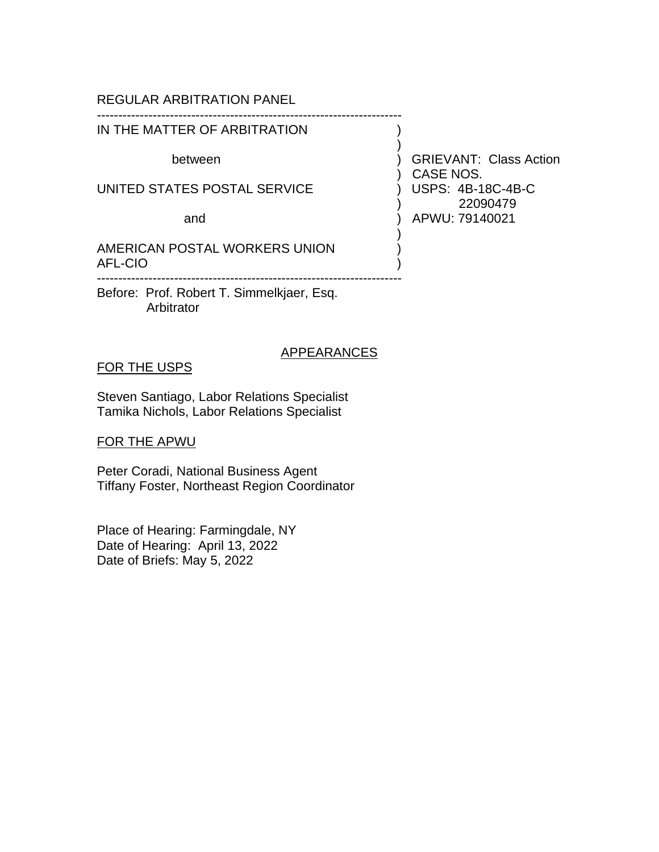# REGULAR ARBITRATION PANEL

## IN THE MATTER OF ARBITRATION

-----------------------------------------------------------------------

UNITED STATES POSTAL SERVICE ) USPS: 4B-18C-4B-C

AMERICAN POSTAL WORKERS UNION AFL-CIO ) -----------------------------------------------------------------------

Before: Prof. Robert T. Simmelkjaer, Esq. Arbitrator

## APPEARANCES

## FOR THE USPS

Steven Santiago, Labor Relations Specialist Tamika Nichols, Labor Relations Specialist

FOR THE APWU

Peter Coradi, National Business Agent Tiffany Foster, Northeast Region Coordinator

Place of Hearing: Farmingdale, NY Date of Hearing: April 13, 2022 Date of Briefs: May 5, 2022

between (between ) GRIEVANT: Class Action ) CASE NOS. ) 22090479 and ) APWU: 79140021

)

)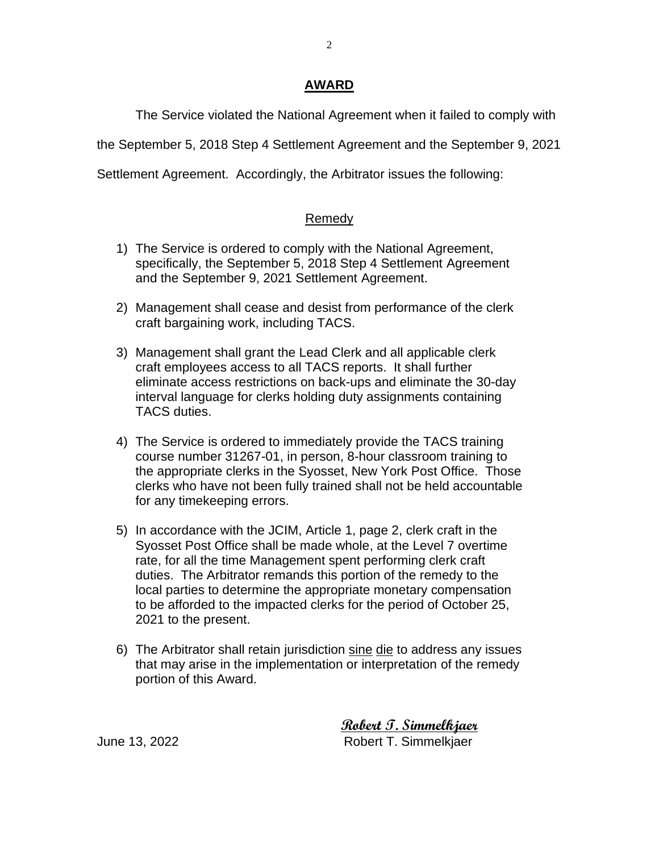## **AWARD**

The Service violated the National Agreement when it failed to comply with

the September 5, 2018 Step 4 Settlement Agreement and the September 9, 2021

Settlement Agreement. Accordingly, the Arbitrator issues the following:

## Remedy

- 1) The Service is ordered to comply with the National Agreement, specifically, the September 5, 2018 Step 4 Settlement Agreement and the September 9, 2021 Settlement Agreement.
- 2) Management shall cease and desist from performance of the clerk craft bargaining work, including TACS.
- 3) Management shall grant the Lead Clerk and all applicable clerk craft employees access to all TACS reports. It shall further eliminate access restrictions on back-ups and eliminate the 30-day interval language for clerks holding duty assignments containing TACS duties.
- 4) The Service is ordered to immediately provide the TACS training course number 31267-01, in person, 8-hour classroom training to the appropriate clerks in the Syosset, New York Post Office. Those clerks who have not been fully trained shall not be held accountable for any timekeeping errors.
- 5) In accordance with the JCIM, Article 1, page 2, clerk craft in the Syosset Post Office shall be made whole, at the Level 7 overtime rate, for all the time Management spent performing clerk craft duties. The Arbitrator remands this portion of the remedy to the local parties to determine the appropriate monetary compensation to be afforded to the impacted clerks for the period of October 25, 2021 to the present.
- 6) The Arbitrator shall retain jurisdiction sine die to address any issues that may arise in the implementation or interpretation of the remedy portion of this Award.

 **Robert T. Simmelkjaer** June 13, 2022 Robert T. Simmelkjaer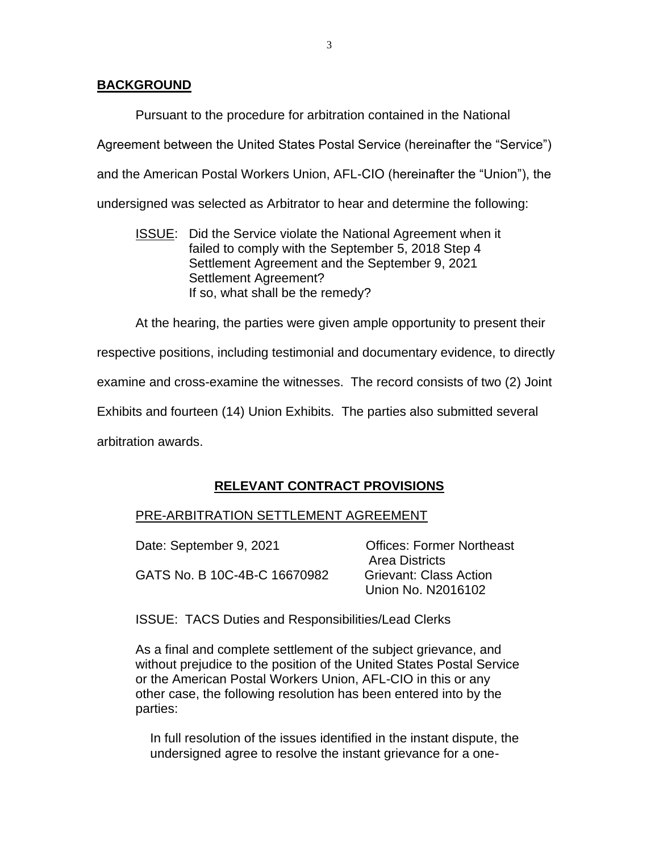## **BACKGROUND**

Pursuant to the procedure for arbitration contained in the National Agreement between the United States Postal Service (hereinafter the "Service") and the American Postal Workers Union, AFL-CIO (hereinafter the "Union"), the undersigned was selected as Arbitrator to hear and determine the following:

ISSUE: Did the Service violate the National Agreement when it failed to comply with the September 5, 2018 Step 4 Settlement Agreement and the September 9, 2021 Settlement Agreement? If so, what shall be the remedy?

At the hearing, the parties were given ample opportunity to present their respective positions, including testimonial and documentary evidence, to directly examine and cross-examine the witnesses. The record consists of two (2) Joint Exhibits and fourteen (14) Union Exhibits. The parties also submitted several arbitration awards.

# **RELEVANT CONTRACT PROVISIONS**

# PRE-ARBITRATION SETTLEMENT AGREEMENT

| Date: September 9, 2021      | <b>Offices: Former Northeast</b> |
|------------------------------|----------------------------------|
|                              | <b>Area Districts</b>            |
| GATS No. B 10C-4B-C 16670982 | <b>Grievant: Class Action</b>    |
|                              | Union No. N2016102               |

ISSUE: TACS Duties and Responsibilities/Lead Clerks

As a final and complete settlement of the subject grievance, and without prejudice to the position of the United States Postal Service or the American Postal Workers Union, AFL-CIO in this or any other case, the following resolution has been entered into by the parties:

In full resolution of the issues identified in the instant dispute, the undersigned agree to resolve the instant grievance for a one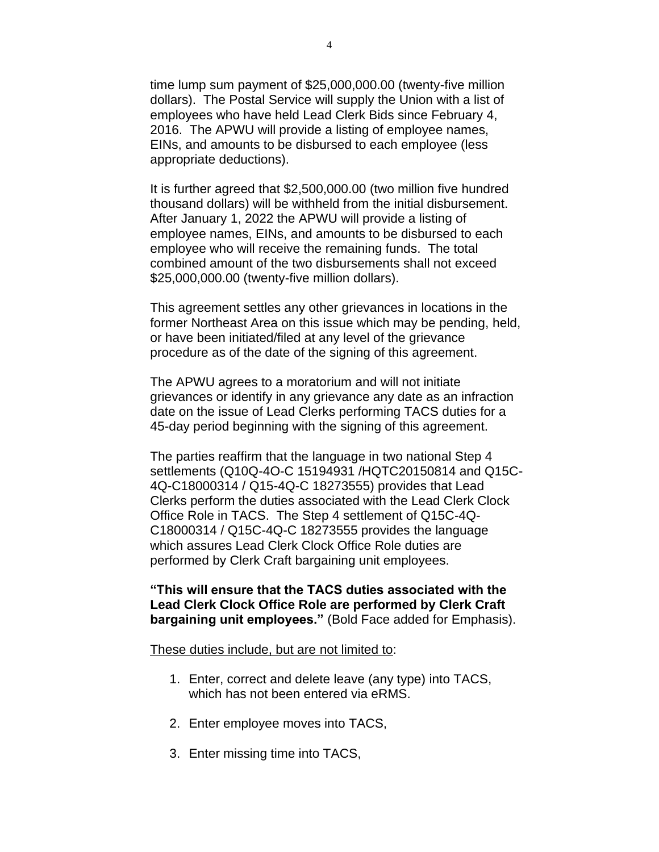time lump sum payment of \$25,000,000.00 (twenty-five million dollars). The Postal Service will supply the Union with a list of employees who have held Lead Clerk Bids since February 4, 2016. The APWU will provide a listing of employee names, EINs, and amounts to be disbursed to each employee (less appropriate deductions).

It is further agreed that \$2,500,000.00 (two million five hundred thousand dollars) will be withheld from the initial disbursement. After January 1, 2022 the APWU will provide a listing of employee names, EINs, and amounts to be disbursed to each employee who will receive the remaining funds. The total combined amount of the two disbursements shall not exceed \$25,000,000.00 (twenty-five million dollars).

This agreement settles any other grievances in locations in the former Northeast Area on this issue which may be pending, held, or have been initiated/filed at any level of the grievance procedure as of the date of the signing of this agreement.

The APWU agrees to a moratorium and will not initiate grievances or identify in any grievance any date as an infraction date on the issue of Lead Clerks performing TACS duties for a 45-day period beginning with the signing of this agreement.

The parties reaffirm that the language in two national Step 4 settlements (Q10Q-4O-C 15194931 /HQTC20150814 and Q15C-4Q-C18000314 / Q15-4Q-C 18273555) provides that Lead Clerks perform the duties associated with the Lead Clerk Clock Office Role in TACS. The Step 4 settlement of Q15C-4Q-C18000314 / Q15C-4Q-C 18273555 provides the language which assures Lead Clerk Clock Office Role duties are performed by Clerk Craft bargaining unit employees.

**"This will ensure that the TACS duties associated with the Lead Clerk Clock Office Role are performed by Clerk Craft bargaining unit employees."** (Bold Face added for Emphasis).

These duties include, but are not limited to:

- 1. Enter, correct and delete leave (any type) into TACS, which has not been entered via eRMS.
- 2. Enter employee moves into TACS,
- 3. Enter missing time into TACS,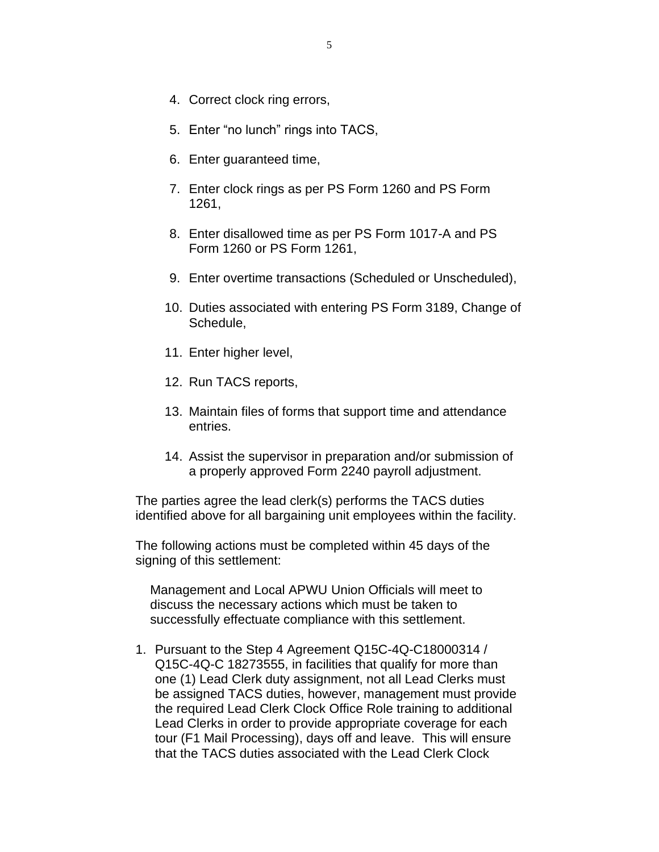- 4. Correct clock ring errors,
- 5. Enter "no lunch" rings into TACS,
- 6. Enter guaranteed time,
- 7. Enter clock rings as per PS Form 1260 and PS Form 1261,
- 8. Enter disallowed time as per PS Form 1017-A and PS Form 1260 or PS Form 1261,
- 9. Enter overtime transactions (Scheduled or Unscheduled),
- 10. Duties associated with entering PS Form 3189, Change of Schedule,
- 11. Enter higher level,
- 12. Run TACS reports,
- 13. Maintain files of forms that support time and attendance entries.
- 14. Assist the supervisor in preparation and/or submission of a properly approved Form 2240 payroll adjustment.

The parties agree the lead clerk(s) performs the TACS duties identified above for all bargaining unit employees within the facility.

The following actions must be completed within 45 days of the signing of this settlement:

Management and Local APWU Union Officials will meet to discuss the necessary actions which must be taken to successfully effectuate compliance with this settlement.

1. Pursuant to the Step 4 Agreement Q15C-4Q-C18000314 / Q15C-4Q-C 18273555, in facilities that qualify for more than one (1) Lead Clerk duty assignment, not all Lead Clerks must be assigned TACS duties, however, management must provide the required Lead Clerk Clock Office Role training to additional Lead Clerks in order to provide appropriate coverage for each tour (F1 Mail Processing), days off and leave. This will ensure that the TACS duties associated with the Lead Clerk Clock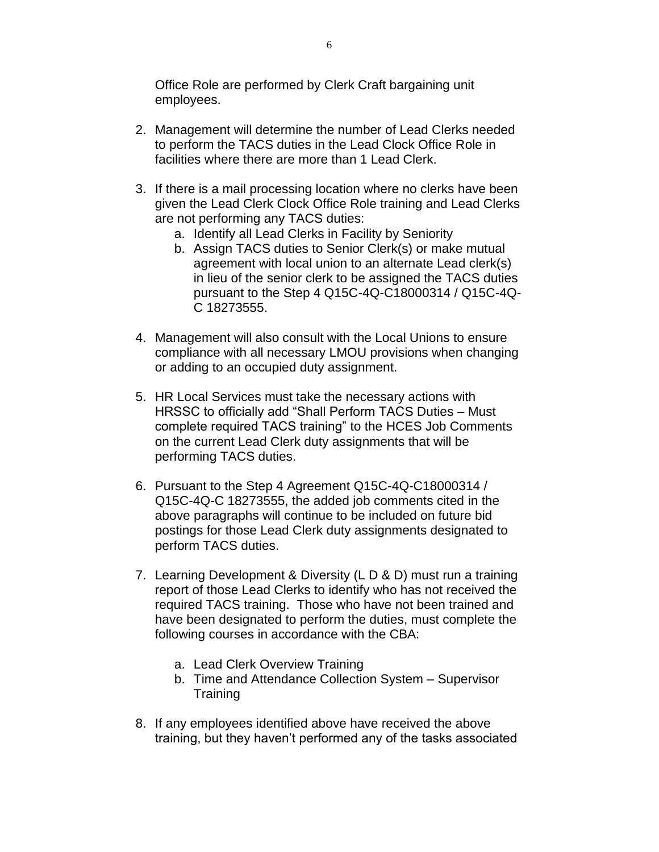Office Role are performed by Clerk Craft bargaining unit employees.

- 2. Management will determine the number of Lead Clerks needed to perform the TACS duties in the Lead Clock Office Role in facilities where there are more than 1 Lead Clerk.
- 3. If there is a mail processing location where no clerks have been given the Lead Clerk Clock Office Role training and Lead Clerks are not performing any TACS duties:
	- a. Identify all Lead Clerks in Facility by Seniority
	- b. Assign TACS duties to Senior Clerk(s) or make mutual agreement with local union to an alternate Lead clerk(s) in lieu of the senior clerk to be assigned the TACS duties pursuant to the Step 4 Q15C-4Q-C18000314 / Q15C-4Q-C 18273555.
- 4. Management will also consult with the Local Unions to ensure compliance with all necessary LMOU provisions when changing or adding to an occupied duty assignment.
- 5. HR Local Services must take the necessary actions with HRSSC to officially add "Shall Perform TACS Duties – Must complete required TACS training" to the HCES Job Comments on the current Lead Clerk duty assignments that will be performing TACS duties.
- 6. Pursuant to the Step 4 Agreement Q15C-4Q-C18000314 / Q15C-4Q-C 18273555, the added job comments cited in the above paragraphs will continue to be included on future bid postings for those Lead Clerk duty assignments designated to perform TACS duties.
- 7. Learning Development & Diversity (L D & D) must run a training report of those Lead Clerks to identify who has not received the required TACS training. Those who have not been trained and have been designated to perform the duties, must complete the following courses in accordance with the CBA:
	- a. Lead Clerk Overview Training
	- b. Time and Attendance Collection System Supervisor **Training**
- 8. If any employees identified above have received the above training, but they haven't performed any of the tasks associated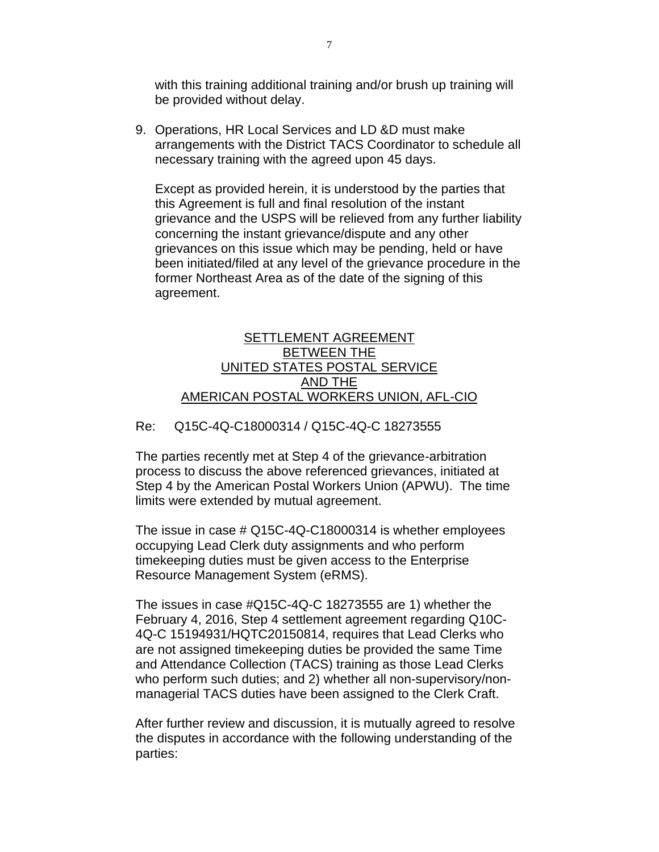with this training additional training and/or brush up training will be provided without delay.

9. Operations, HR Local Services and LD &D must make arrangements with the District TACS Coordinator to schedule all necessary training with the agreed upon 45 days.

Except as provided herein, it is understood by the parties that this Agreement is full and final resolution of the instant grievance and the USPS will be relieved from any further liability concerning the instant grievance/dispute and any other grievances on this issue which may be pending, held or have been initiated/filed at any level of the grievance procedure in the former Northeast Area as of the date of the signing of this agreement.

## SETTLEMENT AGREEMENT BETWEEN THE UNITED STATES POSTAL SERVICE AND THE AMERICAN POSTAL WORKERS UNION, AFL-CIO

## Re: Q15C-4Q-C18000314 / Q15C-4Q-C 18273555

The parties recently met at Step 4 of the grievance-arbitration process to discuss the above referenced grievances, initiated at Step 4 by the American Postal Workers Union (APWU). The time limits were extended by mutual agreement.

The issue in case # Q15C-4Q-C18000314 is whether employees occupying Lead Clerk duty assignments and who perform timekeeping duties must be given access to the Enterprise Resource Management System (eRMS).

The issues in case #Q15C-4Q-C 18273555 are 1) whether the February 4, 2016, Step 4 settlement agreement regarding Q10C-4Q-C 15194931/HQTC20150814, requires that Lead Clerks who are not assigned timekeeping duties be provided the same Time and Attendance Collection (TACS) training as those Lead Clerks who perform such duties; and 2) whether all non-supervisory/nonmanagerial TACS duties have been assigned to the Clerk Craft.

After further review and discussion, it is mutually agreed to resolve the disputes in accordance with the following understanding of the parties: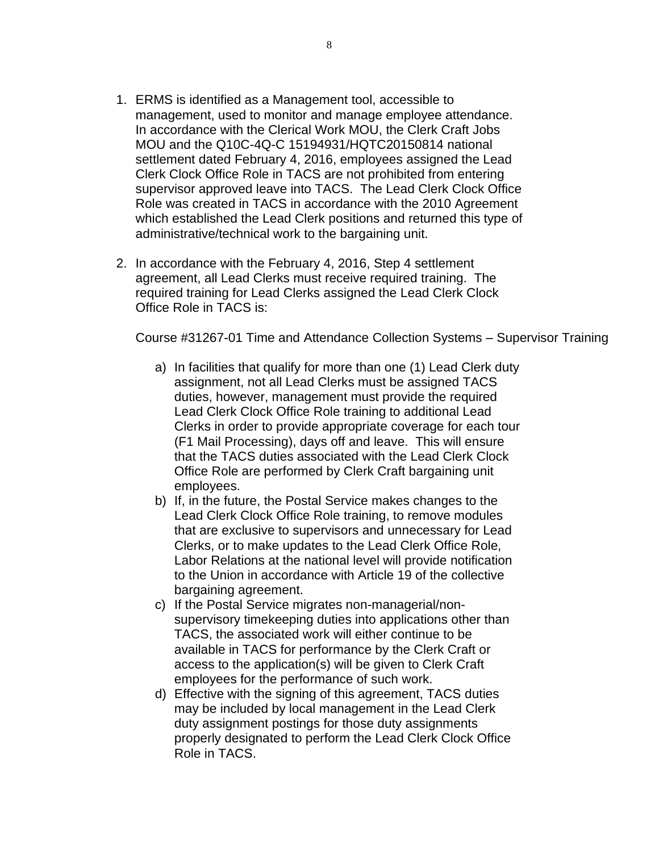- 1. ERMS is identified as a Management tool, accessible to management, used to monitor and manage employee attendance. In accordance with the Clerical Work MOU, the Clerk Craft Jobs MOU and the Q10C-4Q-C 15194931/HQTC20150814 national settlement dated February 4, 2016, employees assigned the Lead Clerk Clock Office Role in TACS are not prohibited from entering supervisor approved leave into TACS. The Lead Clerk Clock Office Role was created in TACS in accordance with the 2010 Agreement which established the Lead Clerk positions and returned this type of administrative/technical work to the bargaining unit.
- 2. In accordance with the February 4, 2016, Step 4 settlement agreement, all Lead Clerks must receive required training. The required training for Lead Clerks assigned the Lead Clerk Clock Office Role in TACS is:

Course #31267-01 Time and Attendance Collection Systems – Supervisor Training

- a) In facilities that qualify for more than one (1) Lead Clerk duty assignment, not all Lead Clerks must be assigned TACS duties, however, management must provide the required Lead Clerk Clock Office Role training to additional Lead Clerks in order to provide appropriate coverage for each tour (F1 Mail Processing), days off and leave. This will ensure that the TACS duties associated with the Lead Clerk Clock Office Role are performed by Clerk Craft bargaining unit employees.
- b) If, in the future, the Postal Service makes changes to the Lead Clerk Clock Office Role training, to remove modules that are exclusive to supervisors and unnecessary for Lead Clerks, or to make updates to the Lead Clerk Office Role, Labor Relations at the national level will provide notification to the Union in accordance with Article 19 of the collective bargaining agreement.
- c) If the Postal Service migrates non-managerial/nonsupervisory timekeeping duties into applications other than TACS, the associated work will either continue to be available in TACS for performance by the Clerk Craft or access to the application(s) will be given to Clerk Craft employees for the performance of such work.
- d) Effective with the signing of this agreement, TACS duties may be included by local management in the Lead Clerk duty assignment postings for those duty assignments properly designated to perform the Lead Clerk Clock Office Role in TACS.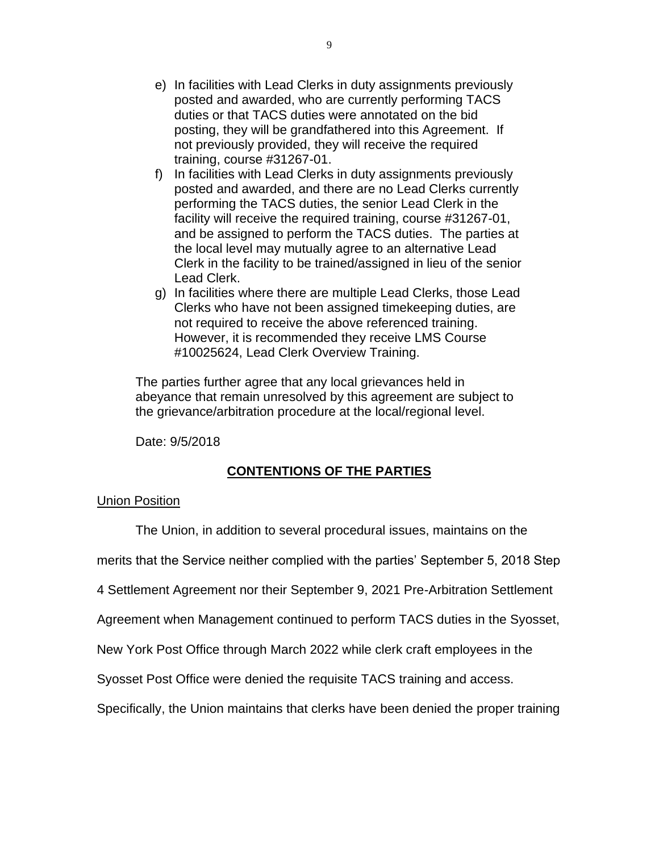- e) In facilities with Lead Clerks in duty assignments previously posted and awarded, who are currently performing TACS duties or that TACS duties were annotated on the bid posting, they will be grandfathered into this Agreement. If not previously provided, they will receive the required training, course #31267-01.
- f) In facilities with Lead Clerks in duty assignments previously posted and awarded, and there are no Lead Clerks currently performing the TACS duties, the senior Lead Clerk in the facility will receive the required training, course #31267-01, and be assigned to perform the TACS duties. The parties at the local level may mutually agree to an alternative Lead Clerk in the facility to be trained/assigned in lieu of the senior Lead Clerk.
- g) In facilities where there are multiple Lead Clerks, those Lead Clerks who have not been assigned timekeeping duties, are not required to receive the above referenced training. However, it is recommended they receive LMS Course #10025624, Lead Clerk Overview Training.

The parties further agree that any local grievances held in abeyance that remain unresolved by this agreement are subject to the grievance/arbitration procedure at the local/regional level.

Date: 9/5/2018

# **CONTENTIONS OF THE PARTIES**

## Union Position

The Union, in addition to several procedural issues, maintains on the

merits that the Service neither complied with the parties' September 5, 2018 Step

4 Settlement Agreement nor their September 9, 2021 Pre-Arbitration Settlement

Agreement when Management continued to perform TACS duties in the Syosset,

New York Post Office through March 2022 while clerk craft employees in the

Syosset Post Office were denied the requisite TACS training and access.

Specifically, the Union maintains that clerks have been denied the proper training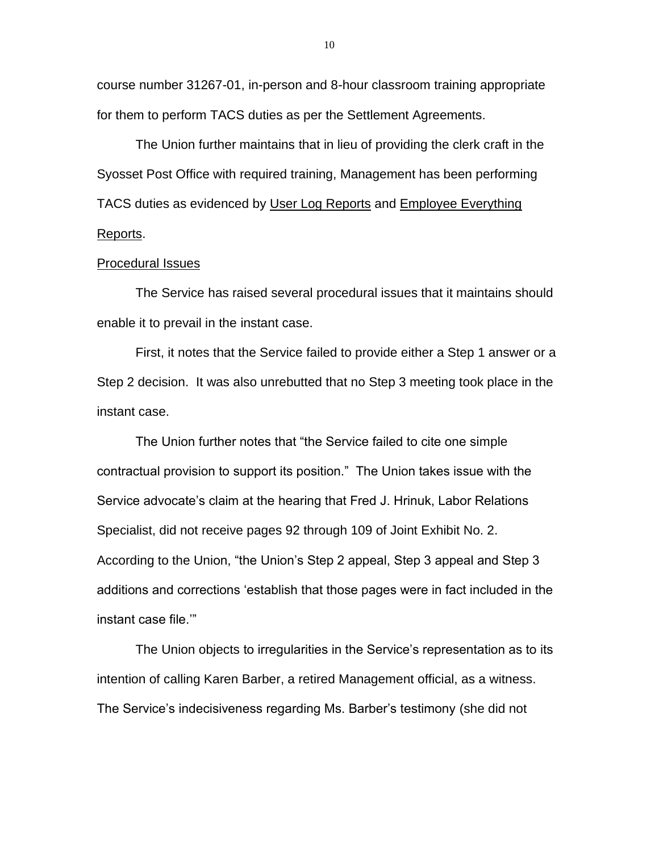course number 31267-01, in-person and 8-hour classroom training appropriate for them to perform TACS duties as per the Settlement Agreements.

The Union further maintains that in lieu of providing the clerk craft in the Syosset Post Office with required training, Management has been performing TACS duties as evidenced by User Log Reports and Employee Everything Reports.

#### Procedural Issues

The Service has raised several procedural issues that it maintains should enable it to prevail in the instant case.

First, it notes that the Service failed to provide either a Step 1 answer or a Step 2 decision. It was also unrebutted that no Step 3 meeting took place in the instant case.

The Union further notes that "the Service failed to cite one simple contractual provision to support its position." The Union takes issue with the Service advocate's claim at the hearing that Fred J. Hrinuk, Labor Relations Specialist, did not receive pages 92 through 109 of Joint Exhibit No. 2. According to the Union, "the Union's Step 2 appeal, Step 3 appeal and Step 3 additions and corrections 'establish that those pages were in fact included in the instant case file.'"

The Union objects to irregularities in the Service's representation as to its intention of calling Karen Barber, a retired Management official, as a witness. The Service's indecisiveness regarding Ms. Barber's testimony (she did not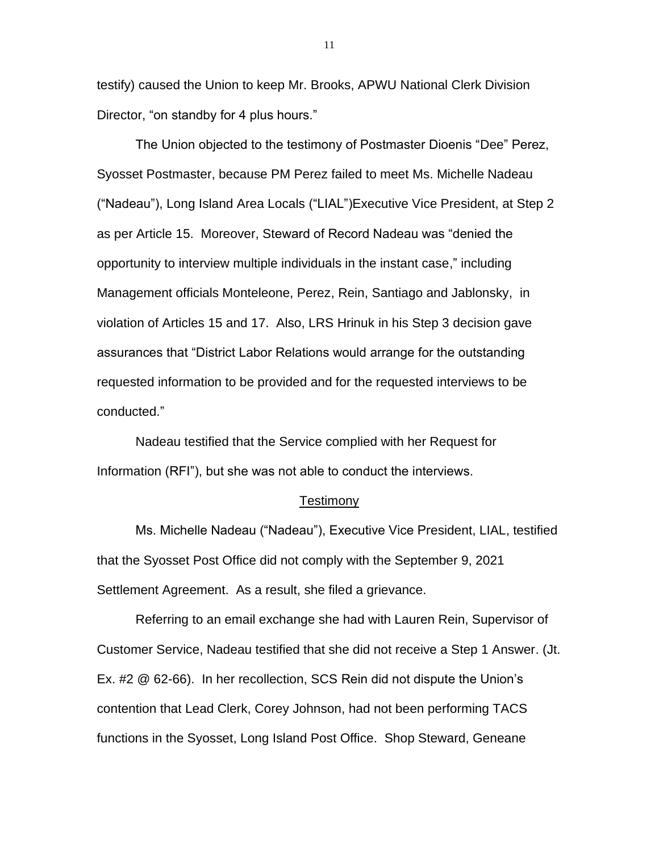testify) caused the Union to keep Mr. Brooks, APWU National Clerk Division Director, "on standby for 4 plus hours."

The Union objected to the testimony of Postmaster Dioenis "Dee" Perez, Syosset Postmaster, because PM Perez failed to meet Ms. Michelle Nadeau ("Nadeau"), Long Island Area Locals ("LIAL")Executive Vice President, at Step 2 as per Article 15. Moreover, Steward of Record Nadeau was "denied the opportunity to interview multiple individuals in the instant case," including Management officials Monteleone, Perez, Rein, Santiago and Jablonsky, in violation of Articles 15 and 17. Also, LRS Hrinuk in his Step 3 decision gave assurances that "District Labor Relations would arrange for the outstanding requested information to be provided and for the requested interviews to be conducted."

Nadeau testified that the Service complied with her Request for Information (RFI"), but she was not able to conduct the interviews.

#### **Testimony**

Ms. Michelle Nadeau ("Nadeau"), Executive Vice President, LIAL, testified that the Syosset Post Office did not comply with the September 9, 2021 Settlement Agreement. As a result, she filed a grievance.

Referring to an email exchange she had with Lauren Rein, Supervisor of Customer Service, Nadeau testified that she did not receive a Step 1 Answer. (Jt. Ex. #2 @ 62-66). In her recollection, SCS Rein did not dispute the Union's contention that Lead Clerk, Corey Johnson, had not been performing TACS functions in the Syosset, Long Island Post Office. Shop Steward, Geneane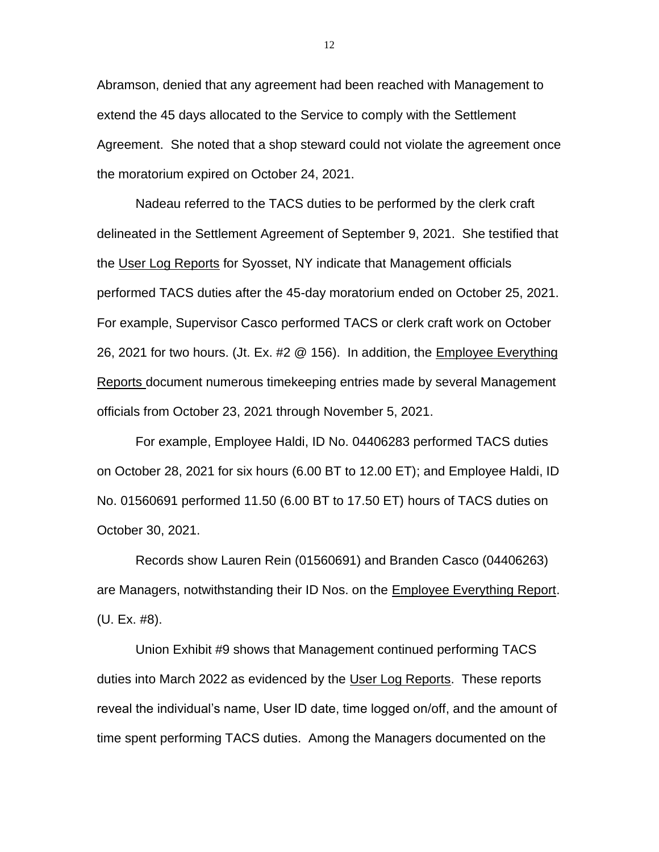Abramson, denied that any agreement had been reached with Management to extend the 45 days allocated to the Service to comply with the Settlement Agreement. She noted that a shop steward could not violate the agreement once the moratorium expired on October 24, 2021.

Nadeau referred to the TACS duties to be performed by the clerk craft delineated in the Settlement Agreement of September 9, 2021. She testified that the User Log Reports for Syosset, NY indicate that Management officials performed TACS duties after the 45-day moratorium ended on October 25, 2021. For example, Supervisor Casco performed TACS or clerk craft work on October 26, 2021 for two hours. (Jt. Ex. #2 @ 156). In addition, the Employee Everything Reports document numerous timekeeping entries made by several Management officials from October 23, 2021 through November 5, 2021.

For example, Employee Haldi, ID No. 04406283 performed TACS duties on October 28, 2021 for six hours (6.00 BT to 12.00 ET); and Employee Haldi, ID No. 01560691 performed 11.50 (6.00 BT to 17.50 ET) hours of TACS duties on October 30, 2021.

Records show Lauren Rein (01560691) and Branden Casco (04406263) are Managers, notwithstanding their ID Nos. on the Employee Everything Report. (U. Ex. #8).

Union Exhibit #9 shows that Management continued performing TACS duties into March 2022 as evidenced by the User Log Reports. These reports reveal the individual's name, User ID date, time logged on/off, and the amount of time spent performing TACS duties. Among the Managers documented on the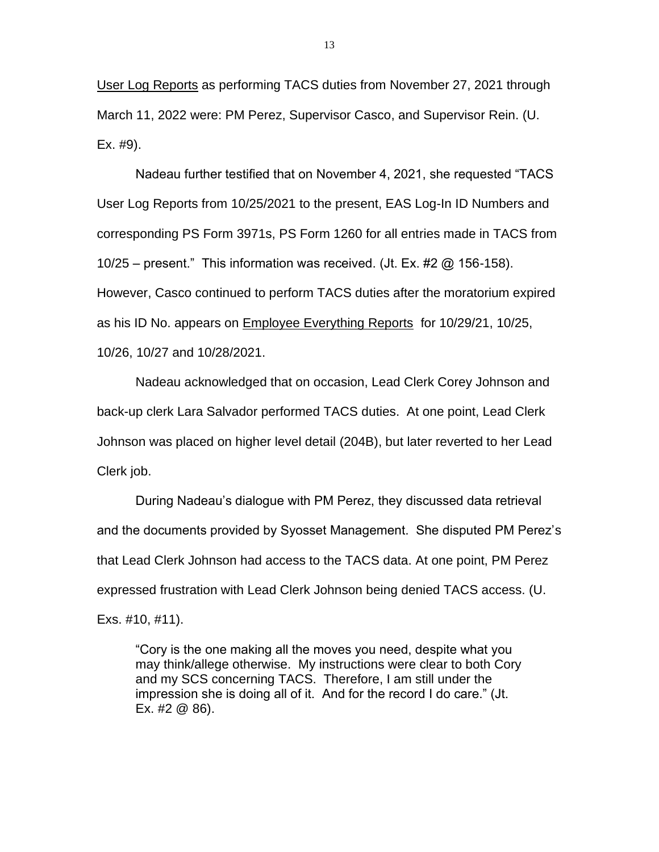User Log Reports as performing TACS duties from November 27, 2021 through March 11, 2022 were: PM Perez, Supervisor Casco, and Supervisor Rein. (U. Ex. #9).

Nadeau further testified that on November 4, 2021, she requested "TACS User Log Reports from 10/25/2021 to the present, EAS Log-In ID Numbers and corresponding PS Form 3971s, PS Form 1260 for all entries made in TACS from 10/25 – present." This information was received. (Jt. Ex. #2  $\omega$  156-158). However, Casco continued to perform TACS duties after the moratorium expired as his ID No. appears on Employee Everything Reports for 10/29/21, 10/25, 10/26, 10/27 and 10/28/2021.

Nadeau acknowledged that on occasion, Lead Clerk Corey Johnson and back-up clerk Lara Salvador performed TACS duties. At one point, Lead Clerk Johnson was placed on higher level detail (204B), but later reverted to her Lead Clerk job.

During Nadeau's dialogue with PM Perez, they discussed data retrieval and the documents provided by Syosset Management. She disputed PM Perez's that Lead Clerk Johnson had access to the TACS data. At one point, PM Perez expressed frustration with Lead Clerk Johnson being denied TACS access. (U. Exs. #10, #11).

"Cory is the one making all the moves you need, despite what you may think/allege otherwise. My instructions were clear to both Cory and my SCS concerning TACS. Therefore, I am still under the impression she is doing all of it. And for the record I do care." (Jt. Ex. #2 @ 86).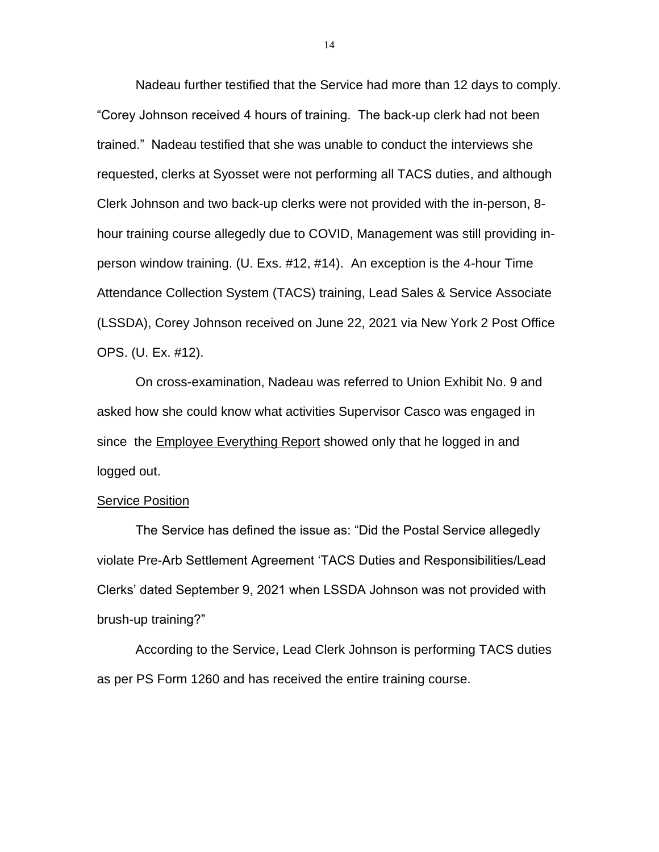Nadeau further testified that the Service had more than 12 days to comply. "Corey Johnson received 4 hours of training. The back-up clerk had not been trained." Nadeau testified that she was unable to conduct the interviews she requested, clerks at Syosset were not performing all TACS duties, and although Clerk Johnson and two back-up clerks were not provided with the in-person, 8 hour training course allegedly due to COVID, Management was still providing inperson window training. (U. Exs. #12, #14). An exception is the 4-hour Time Attendance Collection System (TACS) training, Lead Sales & Service Associate (LSSDA), Corey Johnson received on June 22, 2021 via New York 2 Post Office OPS. (U. Ex. #12).

On cross-examination, Nadeau was referred to Union Exhibit No. 9 and asked how she could know what activities Supervisor Casco was engaged in since the **Employee Everything Report showed only that he logged in and** logged out.

#### Service Position

The Service has defined the issue as: "Did the Postal Service allegedly violate Pre-Arb Settlement Agreement 'TACS Duties and Responsibilities/Lead Clerks' dated September 9, 2021 when LSSDA Johnson was not provided with brush-up training?"

According to the Service, Lead Clerk Johnson is performing TACS duties as per PS Form 1260 and has received the entire training course.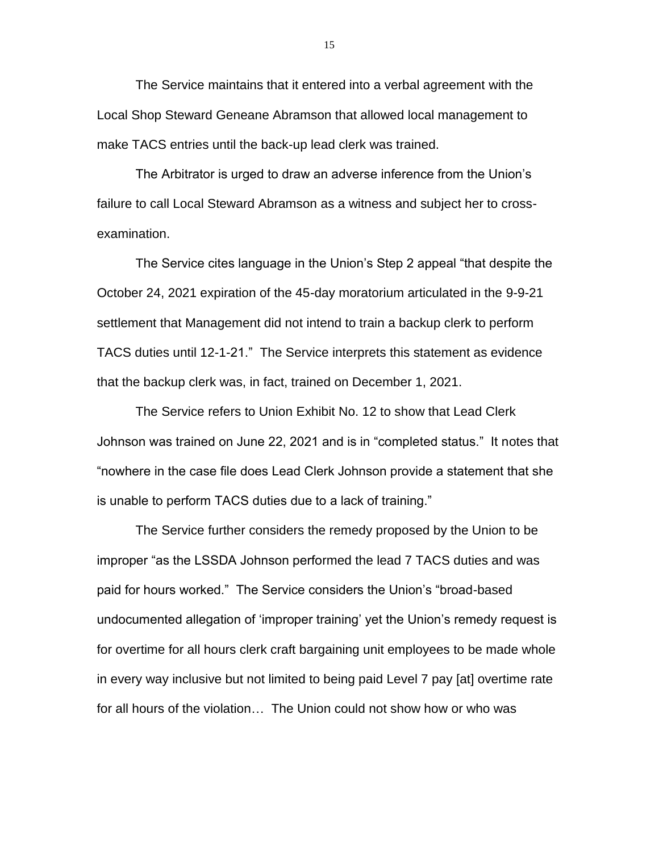The Service maintains that it entered into a verbal agreement with the Local Shop Steward Geneane Abramson that allowed local management to make TACS entries until the back-up lead clerk was trained.

The Arbitrator is urged to draw an adverse inference from the Union's failure to call Local Steward Abramson as a witness and subject her to crossexamination.

The Service cites language in the Union's Step 2 appeal "that despite the October 24, 2021 expiration of the 45-day moratorium articulated in the 9-9-21 settlement that Management did not intend to train a backup clerk to perform TACS duties until 12-1-21." The Service interprets this statement as evidence that the backup clerk was, in fact, trained on December 1, 2021.

The Service refers to Union Exhibit No. 12 to show that Lead Clerk Johnson was trained on June 22, 2021 and is in "completed status." It notes that "nowhere in the case file does Lead Clerk Johnson provide a statement that she is unable to perform TACS duties due to a lack of training."

The Service further considers the remedy proposed by the Union to be improper "as the LSSDA Johnson performed the lead 7 TACS duties and was paid for hours worked." The Service considers the Union's "broad-based undocumented allegation of 'improper training' yet the Union's remedy request is for overtime for all hours clerk craft bargaining unit employees to be made whole in every way inclusive but not limited to being paid Level 7 pay [at] overtime rate for all hours of the violation… The Union could not show how or who was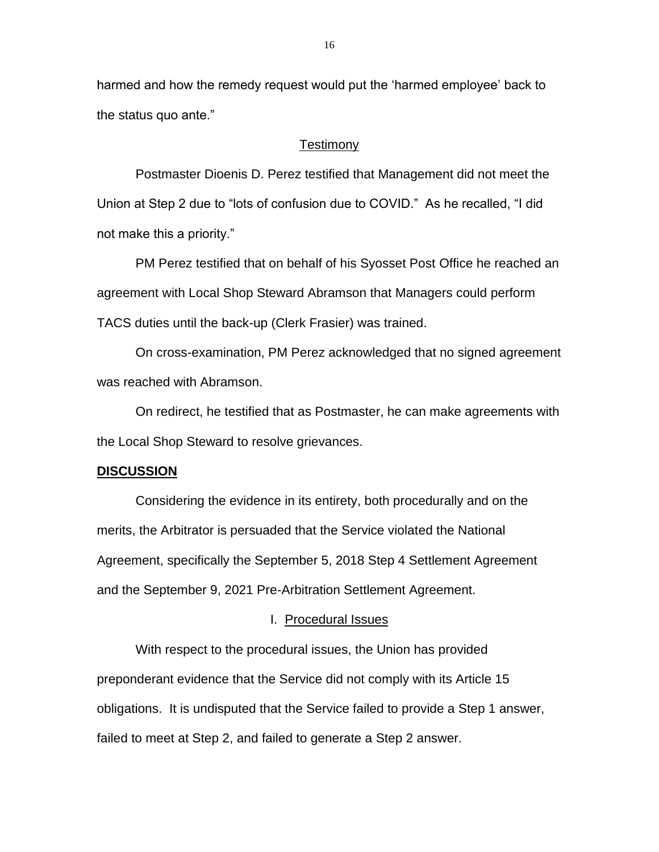harmed and how the remedy request would put the 'harmed employee' back to the status quo ante."

#### Testimony

Postmaster Dioenis D. Perez testified that Management did not meet the Union at Step 2 due to "lots of confusion due to COVID." As he recalled, "I did not make this a priority."

PM Perez testified that on behalf of his Syosset Post Office he reached an agreement with Local Shop Steward Abramson that Managers could perform TACS duties until the back-up (Clerk Frasier) was trained.

On cross-examination, PM Perez acknowledged that no signed agreement was reached with Abramson.

On redirect, he testified that as Postmaster, he can make agreements with the Local Shop Steward to resolve grievances.

#### **DISCUSSION**

Considering the evidence in its entirety, both procedurally and on the merits, the Arbitrator is persuaded that the Service violated the National Agreement, specifically the September 5, 2018 Step 4 Settlement Agreement and the September 9, 2021 Pre-Arbitration Settlement Agreement.

### I. Procedural Issues

With respect to the procedural issues, the Union has provided preponderant evidence that the Service did not comply with its Article 15 obligations. It is undisputed that the Service failed to provide a Step 1 answer, failed to meet at Step 2, and failed to generate a Step 2 answer.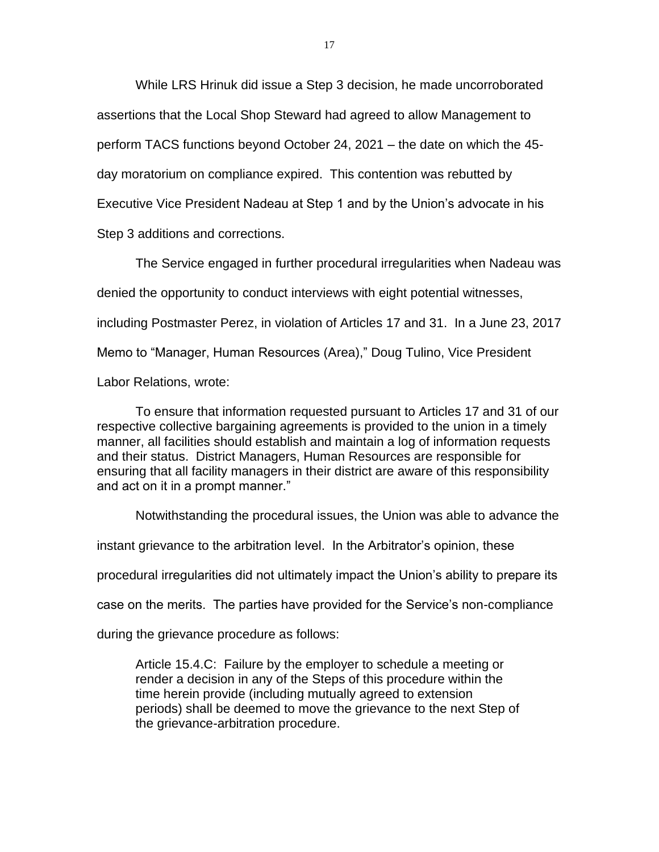While LRS Hrinuk did issue a Step 3 decision, he made uncorroborated assertions that the Local Shop Steward had agreed to allow Management to perform TACS functions beyond October 24, 2021 – the date on which the 45 day moratorium on compliance expired. This contention was rebutted by Executive Vice President Nadeau at Step 1 and by the Union's advocate in his Step 3 additions and corrections.

The Service engaged in further procedural irregularities when Nadeau was denied the opportunity to conduct interviews with eight potential witnesses, including Postmaster Perez, in violation of Articles 17 and 31. In a June 23, 2017 Memo to "Manager, Human Resources (Area)," Doug Tulino, Vice President Labor Relations, wrote:

To ensure that information requested pursuant to Articles 17 and 31 of our respective collective bargaining agreements is provided to the union in a timely manner, all facilities should establish and maintain a log of information requests and their status. District Managers, Human Resources are responsible for ensuring that all facility managers in their district are aware of this responsibility and act on it in a prompt manner."

Notwithstanding the procedural issues, the Union was able to advance the

instant grievance to the arbitration level. In the Arbitrator's opinion, these

procedural irregularities did not ultimately impact the Union's ability to prepare its

case on the merits. The parties have provided for the Service's non-compliance

during the grievance procedure as follows:

Article 15.4.C: Failure by the employer to schedule a meeting or render a decision in any of the Steps of this procedure within the time herein provide (including mutually agreed to extension periods) shall be deemed to move the grievance to the next Step of the grievance-arbitration procedure.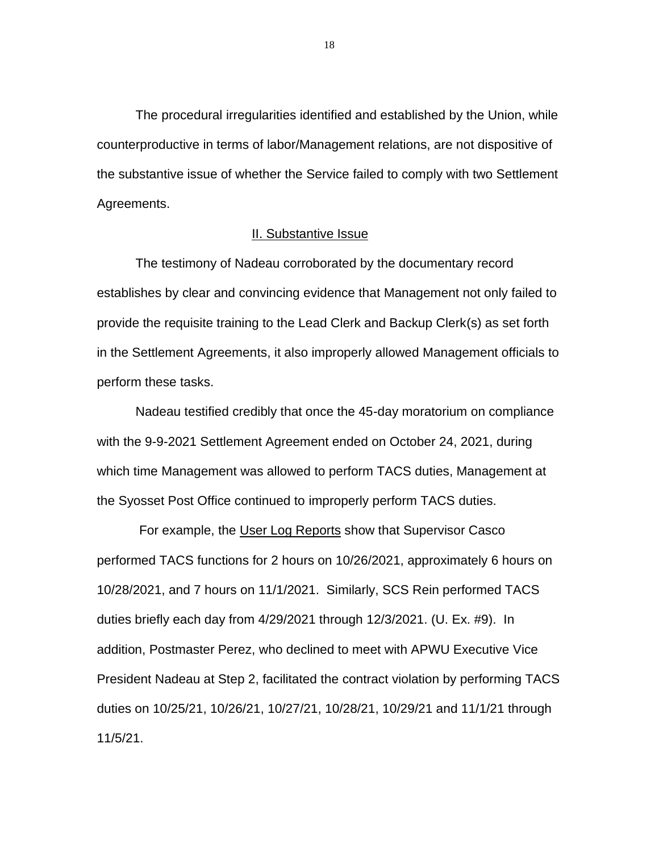The procedural irregularities identified and established by the Union, while counterproductive in terms of labor/Management relations, are not dispositive of the substantive issue of whether the Service failed to comply with two Settlement Agreements.

### II. Substantive Issue

The testimony of Nadeau corroborated by the documentary record establishes by clear and convincing evidence that Management not only failed to provide the requisite training to the Lead Clerk and Backup Clerk(s) as set forth in the Settlement Agreements, it also improperly allowed Management officials to perform these tasks.

Nadeau testified credibly that once the 45-day moratorium on compliance with the 9-9-2021 Settlement Agreement ended on October 24, 2021, during which time Management was allowed to perform TACS duties, Management at the Syosset Post Office continued to improperly perform TACS duties.

For example, the User Log Reports show that Supervisor Casco performed TACS functions for 2 hours on 10/26/2021, approximately 6 hours on 10/28/2021, and 7 hours on 11/1/2021. Similarly, SCS Rein performed TACS duties briefly each day from 4/29/2021 through 12/3/2021. (U. Ex. #9). In addition, Postmaster Perez, who declined to meet with APWU Executive Vice President Nadeau at Step 2, facilitated the contract violation by performing TACS duties on 10/25/21, 10/26/21, 10/27/21, 10/28/21, 10/29/21 and 11/1/21 through 11/5/21.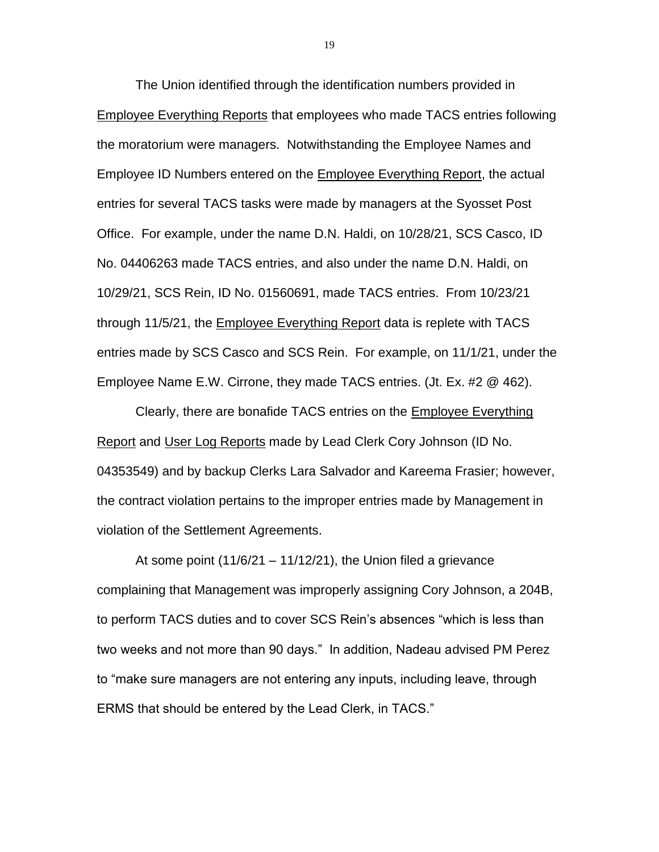The Union identified through the identification numbers provided in Employee Everything Reports that employees who made TACS entries following the moratorium were managers. Notwithstanding the Employee Names and Employee ID Numbers entered on the Employee Everything Report, the actual entries for several TACS tasks were made by managers at the Syosset Post Office. For example, under the name D.N. Haldi, on 10/28/21, SCS Casco, ID No. 04406263 made TACS entries, and also under the name D.N. Haldi, on 10/29/21, SCS Rein, ID No. 01560691, made TACS entries. From 10/23/21 through 11/5/21, the Employee Everything Report data is replete with TACS entries made by SCS Casco and SCS Rein. For example, on 11/1/21, under the Employee Name E.W. Cirrone, they made TACS entries. (Jt. Ex. #2 @ 462).

Clearly, there are bonafide TACS entries on the Employee Everything Report and User Log Reports made by Lead Clerk Cory Johnson (ID No. 04353549) and by backup Clerks Lara Salvador and Kareema Frasier; however, the contract violation pertains to the improper entries made by Management in violation of the Settlement Agreements.

At some point  $(11/6/21 - 11/12/21)$ , the Union filed a grievance complaining that Management was improperly assigning Cory Johnson, a 204B, to perform TACS duties and to cover SCS Rein's absences "which is less than two weeks and not more than 90 days." In addition, Nadeau advised PM Perez to "make sure managers are not entering any inputs, including leave, through ERMS that should be entered by the Lead Clerk, in TACS."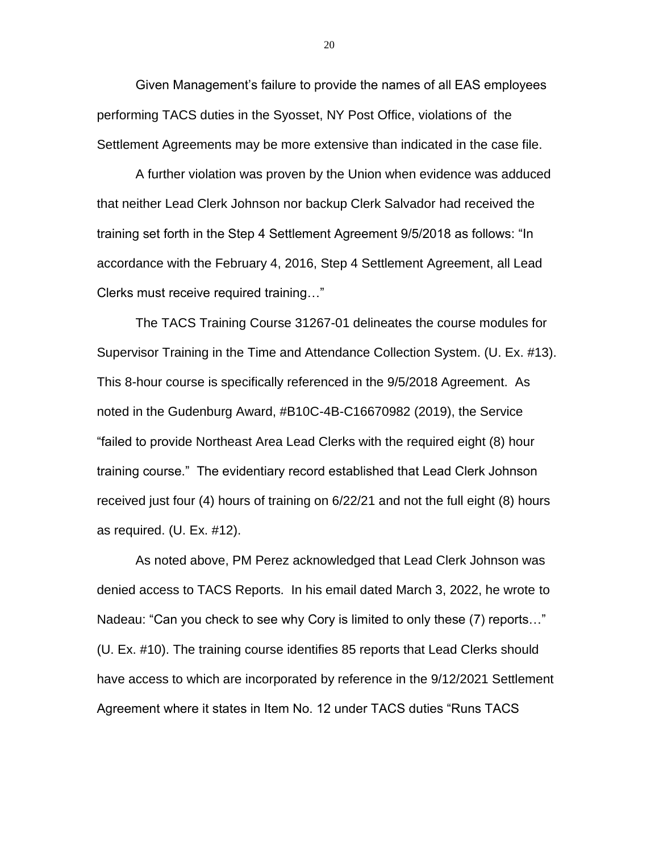Given Management's failure to provide the names of all EAS employees performing TACS duties in the Syosset, NY Post Office, violations of the Settlement Agreements may be more extensive than indicated in the case file.

A further violation was proven by the Union when evidence was adduced that neither Lead Clerk Johnson nor backup Clerk Salvador had received the training set forth in the Step 4 Settlement Agreement 9/5/2018 as follows: "In accordance with the February 4, 2016, Step 4 Settlement Agreement, all Lead Clerks must receive required training…"

The TACS Training Course 31267-01 delineates the course modules for Supervisor Training in the Time and Attendance Collection System. (U. Ex. #13). This 8-hour course is specifically referenced in the 9/5/2018 Agreement. As noted in the Gudenburg Award, #B10C-4B-C16670982 (2019), the Service "failed to provide Northeast Area Lead Clerks with the required eight (8) hour training course." The evidentiary record established that Lead Clerk Johnson received just four (4) hours of training on 6/22/21 and not the full eight (8) hours as required. (U. Ex. #12).

As noted above, PM Perez acknowledged that Lead Clerk Johnson was denied access to TACS Reports. In his email dated March 3, 2022, he wrote to Nadeau: "Can you check to see why Cory is limited to only these (7) reports…" (U. Ex. #10). The training course identifies 85 reports that Lead Clerks should have access to which are incorporated by reference in the 9/12/2021 Settlement Agreement where it states in Item No. 12 under TACS duties "Runs TACS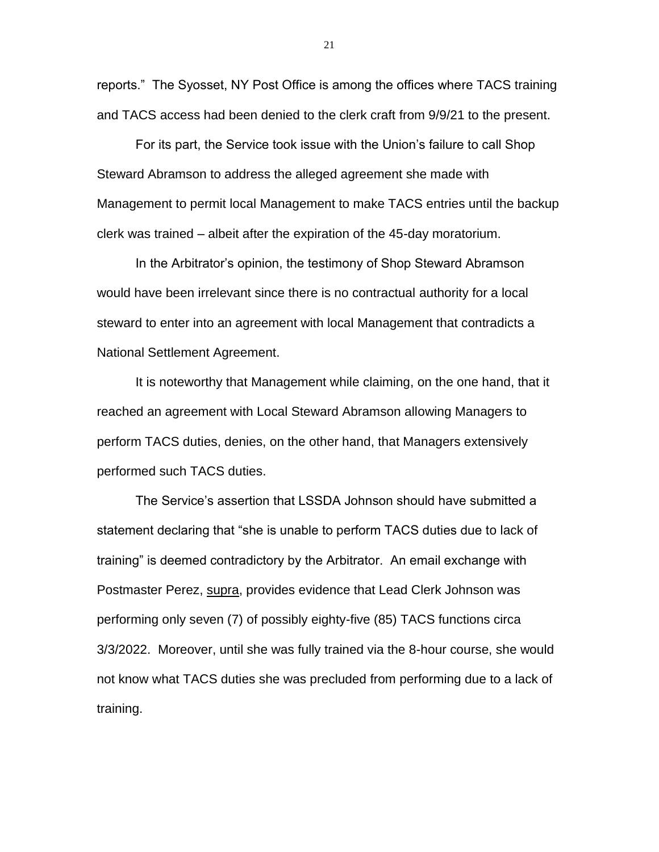reports." The Syosset, NY Post Office is among the offices where TACS training and TACS access had been denied to the clerk craft from 9/9/21 to the present.

For its part, the Service took issue with the Union's failure to call Shop Steward Abramson to address the alleged agreement she made with Management to permit local Management to make TACS entries until the backup clerk was trained – albeit after the expiration of the 45-day moratorium.

In the Arbitrator's opinion, the testimony of Shop Steward Abramson would have been irrelevant since there is no contractual authority for a local steward to enter into an agreement with local Management that contradicts a National Settlement Agreement.

It is noteworthy that Management while claiming, on the one hand, that it reached an agreement with Local Steward Abramson allowing Managers to perform TACS duties, denies, on the other hand, that Managers extensively performed such TACS duties.

The Service's assertion that LSSDA Johnson should have submitted a statement declaring that "she is unable to perform TACS duties due to lack of training" is deemed contradictory by the Arbitrator. An email exchange with Postmaster Perez, supra, provides evidence that Lead Clerk Johnson was performing only seven (7) of possibly eighty-five (85) TACS functions circa 3/3/2022. Moreover, until she was fully trained via the 8-hour course, she would not know what TACS duties she was precluded from performing due to a lack of training.